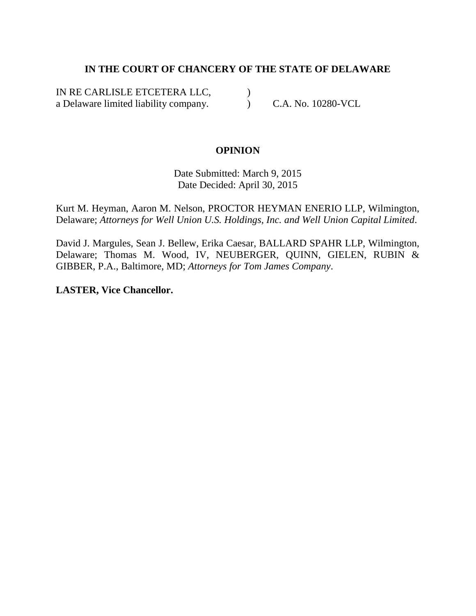# **IN THE COURT OF CHANCERY OF THE STATE OF DELAWARE**

IN RE CARLISLE ETCETERA LLC, a Delaware limited liability company.  $\mathcal{L}$ 

) C.A. No. 10280-VCL

# **OPINION**

Date Submitted: March 9, 2015 Date Decided: April 30, 2015

Kurt M. Heyman, Aaron M. Nelson, PROCTOR HEYMAN ENERIO LLP, Wilmington, Delaware; *Attorneys for Well Union U.S. Holdings, Inc. and Well Union Capital Limited*.

David J. Margules, Sean J. Bellew, Erika Caesar, BALLARD SPAHR LLP, Wilmington, Delaware; Thomas M. Wood, IV, NEUBERGER, QUINN, GIELEN, RUBIN & GIBBER, P.A., Baltimore, MD; *Attorneys for Tom James Company*.

**LASTER, Vice Chancellor.**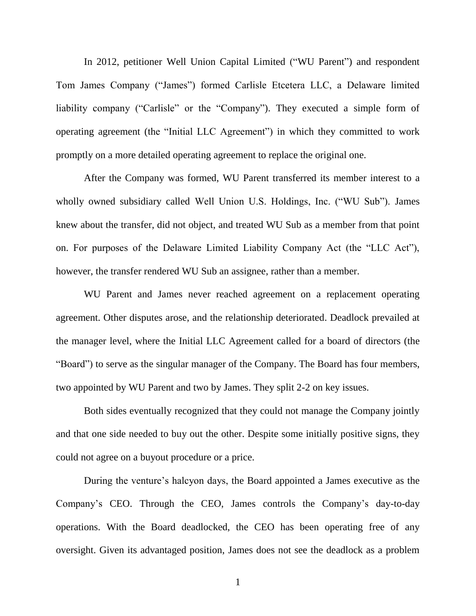In 2012, petitioner Well Union Capital Limited ("WU Parent") and respondent Tom James Company ("James") formed Carlisle Etcetera LLC, a Delaware limited liability company ("Carlisle" or the "Company"). They executed a simple form of operating agreement (the "Initial LLC Agreement") in which they committed to work promptly on a more detailed operating agreement to replace the original one.

After the Company was formed, WU Parent transferred its member interest to a wholly owned subsidiary called Well Union U.S. Holdings, Inc. ("WU Sub"). James knew about the transfer, did not object, and treated WU Sub as a member from that point on. For purposes of the Delaware Limited Liability Company Act (the "LLC Act"), however, the transfer rendered WU Sub an assignee, rather than a member.

WU Parent and James never reached agreement on a replacement operating agreement. Other disputes arose, and the relationship deteriorated. Deadlock prevailed at the manager level, where the Initial LLC Agreement called for a board of directors (the "Board") to serve as the singular manager of the Company. The Board has four members, two appointed by WU Parent and two by James. They split 2-2 on key issues.

Both sides eventually recognized that they could not manage the Company jointly and that one side needed to buy out the other. Despite some initially positive signs, they could not agree on a buyout procedure or a price.

During the venture's halcyon days, the Board appointed a James executive as the Company's CEO. Through the CEO, James controls the Company's day-to-day operations. With the Board deadlocked, the CEO has been operating free of any oversight. Given its advantaged position, James does not see the deadlock as a problem

1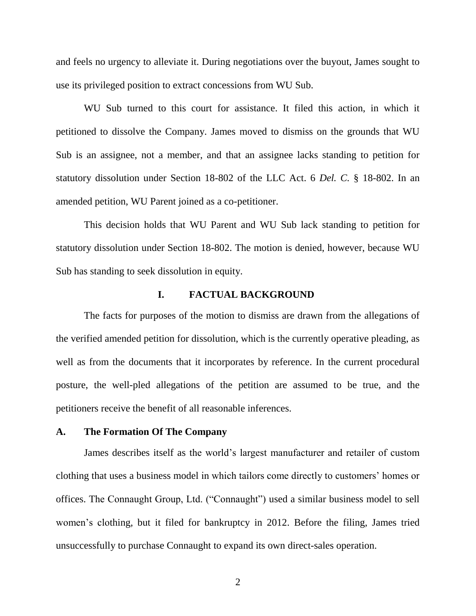and feels no urgency to alleviate it. During negotiations over the buyout, James sought to use its privileged position to extract concessions from WU Sub.

WU Sub turned to this court for assistance. It filed this action, in which it petitioned to dissolve the Company. James moved to dismiss on the grounds that WU Sub is an assignee, not a member, and that an assignee lacks standing to petition for statutory dissolution under Section 18-802 of the LLC Act. 6 *Del. C.* § 18-802. In an amended petition, WU Parent joined as a co-petitioner.

This decision holds that WU Parent and WU Sub lack standing to petition for statutory dissolution under Section 18-802. The motion is denied, however, because WU Sub has standing to seek dissolution in equity.

## **I. FACTUAL BACKGROUND**

The facts for purposes of the motion to dismiss are drawn from the allegations of the verified amended petition for dissolution, which is the currently operative pleading, as well as from the documents that it incorporates by reference. In the current procedural posture, the well-pled allegations of the petition are assumed to be true, and the petitioners receive the benefit of all reasonable inferences.

#### **A. The Formation Of The Company**

James describes itself as the world's largest manufacturer and retailer of custom clothing that uses a business model in which tailors come directly to customers' homes or offices. The Connaught Group, Ltd. ("Connaught") used a similar business model to sell women's clothing, but it filed for bankruptcy in 2012. Before the filing, James tried unsuccessfully to purchase Connaught to expand its own direct-sales operation.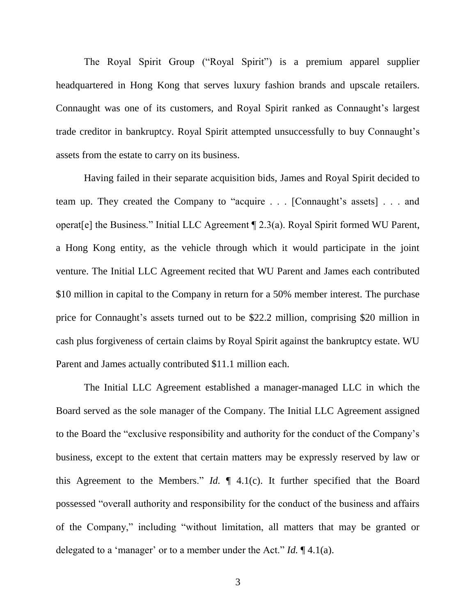The Royal Spirit Group ("Royal Spirit") is a premium apparel supplier headquartered in Hong Kong that serves luxury fashion brands and upscale retailers. Connaught was one of its customers, and Royal Spirit ranked as Connaught's largest trade creditor in bankruptcy. Royal Spirit attempted unsuccessfully to buy Connaught's assets from the estate to carry on its business.

Having failed in their separate acquisition bids, James and Royal Spirit decided to team up. They created the Company to "acquire  $\ldots$  [Connaught's assets]  $\ldots$  and operat[e] the Business." Initial LLC Agreement  $\P$  2.3(a). Royal Spirit formed WU Parent, a Hong Kong entity, as the vehicle through which it would participate in the joint venture. The Initial LLC Agreement recited that WU Parent and James each contributed \$10 million in capital to the Company in return for a 50% member interest. The purchase price for Connaught's assets turned out to be \$22.2 million, comprising \$20 million in cash plus forgiveness of certain claims by Royal Spirit against the bankruptcy estate. WU Parent and James actually contributed \$11.1 million each.

The Initial LLC Agreement established a manager-managed LLC in which the Board served as the sole manager of the Company. The Initial LLC Agreement assigned to the Board the "exclusive responsibility and authority for the conduct of the Company's business, except to the extent that certain matters may be expressly reserved by law or this Agreement to the Members." *Id.*  $\parallel$  4.1(c). It further specified that the Board possessed "overall authority and responsibility for the conduct of the business and affairs of the Company," including "without limitation, all matters that may be granted or delegated to a 'manager' or to a member under the Act." *Id.*  $\P$  4.1(a).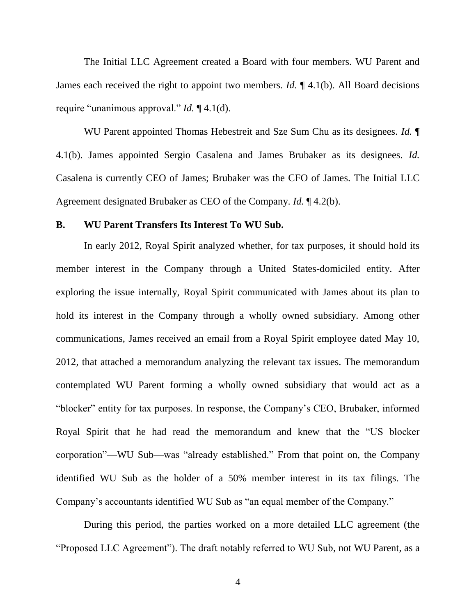The Initial LLC Agreement created a Board with four members. WU Parent and James each received the right to appoint two members. *Id.* ¶ 4.1(b). All Board decisions require "unanimous approval." *Id.* [4.1(d).

WU Parent appointed Thomas Hebestreit and Sze Sum Chu as its designees. *Id.* ¶ 4.1(b). James appointed Sergio Casalena and James Brubaker as its designees. *Id.*  Casalena is currently CEO of James; Brubaker was the CFO of James. The Initial LLC Agreement designated Brubaker as CEO of the Company. *Id.* ¶ 4.2(b).

#### **B. WU Parent Transfers Its Interest To WU Sub.**

In early 2012, Royal Spirit analyzed whether, for tax purposes, it should hold its member interest in the Company through a United States-domiciled entity. After exploring the issue internally, Royal Spirit communicated with James about its plan to hold its interest in the Company through a wholly owned subsidiary. Among other communications, James received an email from a Royal Spirit employee dated May 10, 2012, that attached a memorandum analyzing the relevant tax issues. The memorandum contemplated WU Parent forming a wholly owned subsidiary that would act as a "blocker" entity for tax purposes. In response, the Company's CEO, Brubaker, informed Royal Spirit that he had read the memorandum and knew that the "US blocker" corporation"—WU Sub—was "already established." From that point on, the Company identified WU Sub as the holder of a 50% member interest in its tax filings. The Company's accountants identified WU Sub as "an equal member of the Company."

During this period, the parties worked on a more detailed LLC agreement (the "Proposed LLC Agreement"). The draft notably referred to WU Sub, not WU Parent, as a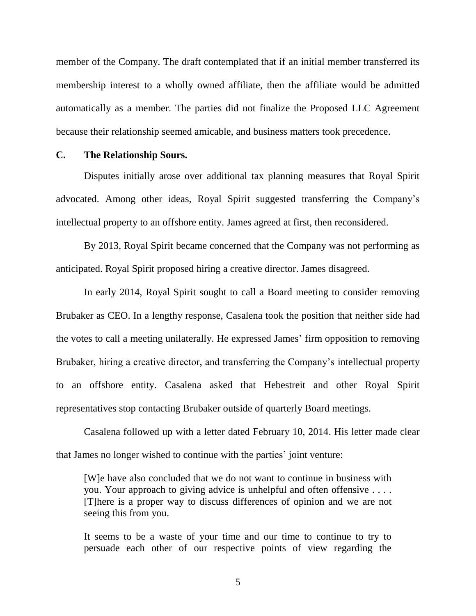member of the Company. The draft contemplated that if an initial member transferred its membership interest to a wholly owned affiliate, then the affiliate would be admitted automatically as a member. The parties did not finalize the Proposed LLC Agreement because their relationship seemed amicable, and business matters took precedence.

## **C. The Relationship Sours.**

Disputes initially arose over additional tax planning measures that Royal Spirit advocated. Among other ideas, Royal Spirit suggested transferring the Company's intellectual property to an offshore entity. James agreed at first, then reconsidered.

By 2013, Royal Spirit became concerned that the Company was not performing as anticipated. Royal Spirit proposed hiring a creative director. James disagreed.

In early 2014, Royal Spirit sought to call a Board meeting to consider removing Brubaker as CEO. In a lengthy response, Casalena took the position that neither side had the votes to call a meeting unilaterally. He expressed James' firm opposition to removing Brubaker, hiring a creative director, and transferring the Company's intellectual property to an offshore entity. Casalena asked that Hebestreit and other Royal Spirit representatives stop contacting Brubaker outside of quarterly Board meetings.

Casalena followed up with a letter dated February 10, 2014. His letter made clear that James no longer wished to continue with the parties' joint venture:

[W]e have also concluded that we do not want to continue in business with you. Your approach to giving advice is unhelpful and often offensive . . . . [T]here is a proper way to discuss differences of opinion and we are not seeing this from you.

It seems to be a waste of your time and our time to continue to try to persuade each other of our respective points of view regarding the

5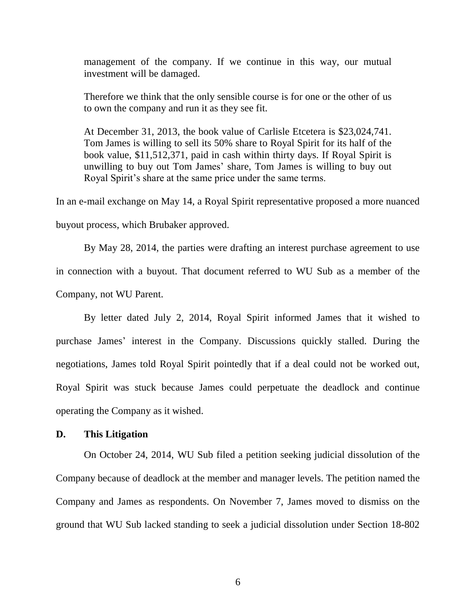management of the company. If we continue in this way, our mutual investment will be damaged.

Therefore we think that the only sensible course is for one or the other of us to own the company and run it as they see fit.

At December 31, 2013, the book value of Carlisle Etcetera is \$23,024,741. Tom James is willing to sell its 50% share to Royal Spirit for its half of the book value, \$11,512,371, paid in cash within thirty days. If Royal Spirit is unwilling to buy out Tom James' share, Tom James is willing to buy out Royal Spirit's share at the same price under the same terms.

In an e-mail exchange on May 14, a Royal Spirit representative proposed a more nuanced buyout process, which Brubaker approved.

By May 28, 2014, the parties were drafting an interest purchase agreement to use in connection with a buyout. That document referred to WU Sub as a member of the Company, not WU Parent.

By letter dated July 2, 2014, Royal Spirit informed James that it wished to purchase James' interest in the Company. Discussions quickly stalled. During the negotiations, James told Royal Spirit pointedly that if a deal could not be worked out, Royal Spirit was stuck because James could perpetuate the deadlock and continue operating the Company as it wished.

## **D. This Litigation**

On October 24, 2014, WU Sub filed a petition seeking judicial dissolution of the Company because of deadlock at the member and manager levels. The petition named the Company and James as respondents. On November 7, James moved to dismiss on the ground that WU Sub lacked standing to seek a judicial dissolution under Section 18-802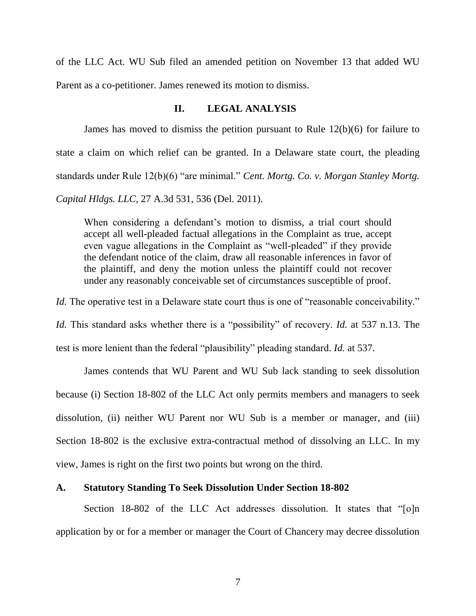of the LLC Act. WU Sub filed an amended petition on November 13 that added WU Parent as a co-petitioner. James renewed its motion to dismiss.

## **II. LEGAL ANALYSIS**

James has moved to dismiss the petition pursuant to Rule 12(b)(6) for failure to state a claim on which relief can be granted. In a Delaware state court, the pleading standards under Rule 12(b)(6) "are minimal." *Cent. Mortg. Co. v. Morgan Stanley Mortg. Capital Hldgs. LLC*, 27 A.3d 531, 536 (Del. 2011).

When considering a defendant's motion to dismiss, a trial court should accept all well-pleaded factual allegations in the Complaint as true, accept even vague allegations in the Complaint as "well-pleaded" if they provide the defendant notice of the claim, draw all reasonable inferences in favor of the plaintiff, and deny the motion unless the plaintiff could not recover under any reasonably conceivable set of circumstances susceptible of proof.

*Id.* The operative test in a Delaware state court thus is one of "reasonable conceivability."

*Id.* This standard asks whether there is a "possibility" of recovery. *Id.* at 537 n.13. The

test is more lenient than the federal "plausibility" pleading standard. *Id.* at 537.

James contends that WU Parent and WU Sub lack standing to seek dissolution because (i) Section 18-802 of the LLC Act only permits members and managers to seek dissolution, (ii) neither WU Parent nor WU Sub is a member or manager, and (iii) Section 18-802 is the exclusive extra-contractual method of dissolving an LLC. In my view, James is right on the first two points but wrong on the third.

## **A. Statutory Standing To Seek Dissolution Under Section 18-802**

Section 18-802 of the LLC Act addresses dissolution. It states that " $[0]$ n application by or for a member or manager the Court of Chancery may decree dissolution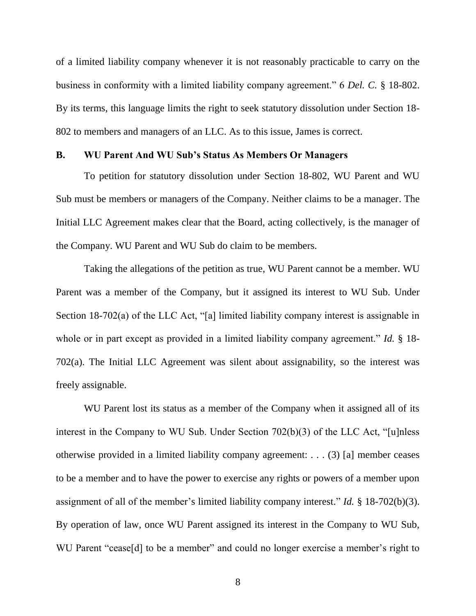of a limited liability company whenever it is not reasonably practicable to carry on the business in conformity with a limited liability company agreement." 6 *Del. C.* § 18-802. By its terms, this language limits the right to seek statutory dissolution under Section 18- 802 to members and managers of an LLC. As to this issue, James is correct.

## **B. WU Parent And WU Sub's Status As Members Or Managers**

To petition for statutory dissolution under Section 18-802, WU Parent and WU Sub must be members or managers of the Company. Neither claims to be a manager. The Initial LLC Agreement makes clear that the Board, acting collectively, is the manager of the Company. WU Parent and WU Sub do claim to be members.

Taking the allegations of the petition as true, WU Parent cannot be a member. WU Parent was a member of the Company, but it assigned its interest to WU Sub. Under Section 18-702(a) of the LLC Act, "[a] limited liability company interest is assignable in whole or in part except as provided in a limited liability company agreement." *Id.* § 18-702(a). The Initial LLC Agreement was silent about assignability, so the interest was freely assignable.

WU Parent lost its status as a member of the Company when it assigned all of its interest in the Company to WU Sub. Under Section  $702(b)(3)$  of the LLC Act, "[u]nless otherwise provided in a limited liability company agreement: . . . (3) [a] member ceases to be a member and to have the power to exercise any rights or powers of a member upon assignment of all of the member's limited liability company interest." *Id.*  $\S$  18-702(b)(3). By operation of law, once WU Parent assigned its interest in the Company to WU Sub, WU Parent "cease[d] to be a member" and could no longer exercise a member's right to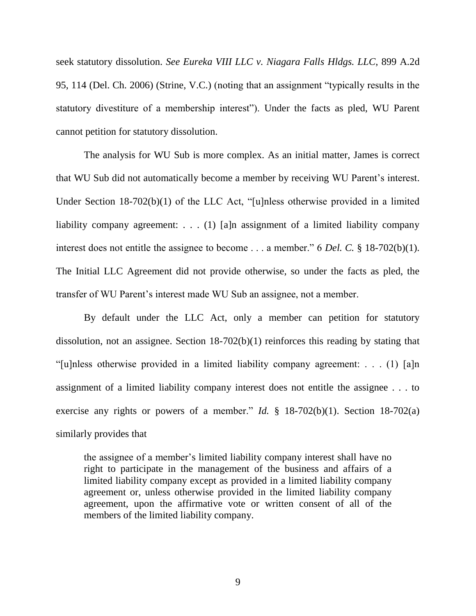seek statutory dissolution. *See Eureka VIII LLC v. Niagara Falls Hldgs. LLC*, 899 A.2d 95, 114 (Del. Ch. 2006) (Strine, V.C.) (noting that an assignment "typically results in the statutory divestiture of a membership interest"). Under the facts as pled, WU Parent cannot petition for statutory dissolution.

The analysis for WU Sub is more complex. As an initial matter, James is correct that WU Sub did not automatically become a member by receiving WU Parent's interest. Under Section  $18-702(b)(1)$  of the LLC Act, "[u]nless otherwise provided in a limited liability company agreement: . . . (1) [a]n assignment of a limited liability company interest does not entitle the assignee to become . . . a member." 6 *Del. C.*  $\S$  18-702(b)(1). The Initial LLC Agreement did not provide otherwise, so under the facts as pled, the transfer of WU Parent's interest made WU Sub an assignee, not a member.

By default under the LLC Act, only a member can petition for statutory dissolution, not an assignee. Section 18-702(b)(1) reinforces this reading by stating that "[u]nless otherwise provided in a limited liability company agreement: . . . (1)  $\lceil a \rceil n$ assignment of a limited liability company interest does not entitle the assignee . . . to exercise any rights or powers of a member." *Id.*  $\frac{1}{2}$  18-702(b)(1). Section 18-702(a) similarly provides that

the assignee of a member's limited liability company interest shall have no right to participate in the management of the business and affairs of a limited liability company except as provided in a limited liability company agreement or, unless otherwise provided in the limited liability company agreement, upon the affirmative vote or written consent of all of the members of the limited liability company.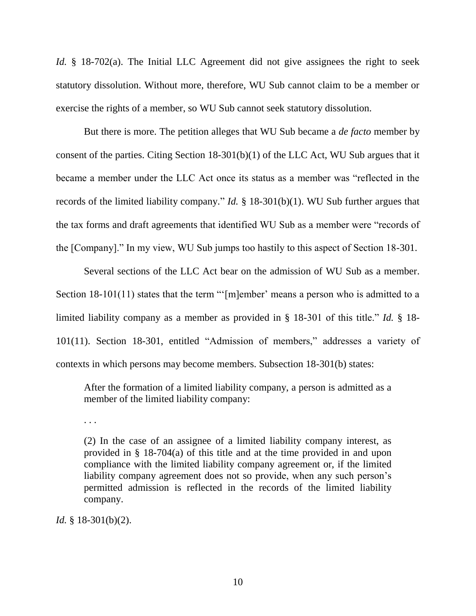*Id.* § 18-702(a). The Initial LLC Agreement did not give assignees the right to seek statutory dissolution. Without more, therefore, WU Sub cannot claim to be a member or exercise the rights of a member, so WU Sub cannot seek statutory dissolution.

But there is more. The petition alleges that WU Sub became a *de facto* member by consent of the parties. Citing Section 18-301(b)(1) of the LLC Act, WU Sub argues that it became a member under the LLC Act once its status as a member was "reflected in the records of the limited liability company." *Id.* § 18-301(b)(1). WU Sub further argues that the tax forms and draft agreements that identified WU Sub as a member were "records of the [Company]." In my view, WU Sub jumps too hastily to this aspect of Section 18-301.

Several sections of the LLC Act bear on the admission of WU Sub as a member. Section 18-101(11) states that the term "'[m]ember' means a person who is admitted to a limited liability company as a member as provided in § 18-301 of this title." *Id.* § 18-101(11). Section 18-301, entitled "Admission of members," addresses a variety of contexts in which persons may become members. Subsection 18-301(b) states:

After the formation of a limited liability company, a person is admitted as a member of the limited liability company:

. . .

(2) In the case of an assignee of a limited liability company interest, as provided in § 18-704(a) of this title and at the time provided in and upon compliance with the limited liability company agreement or, if the limited liability company agreement does not so provide, when any such person's permitted admission is reflected in the records of the limited liability company.

*Id.* § 18-301(b)(2).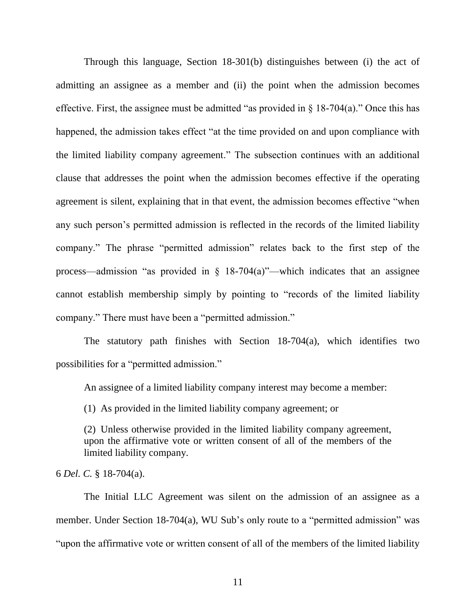Through this language, Section 18-301(b) distinguishes between (i) the act of admitting an assignee as a member and (ii) the point when the admission becomes effective. First, the assignee must be admitted "as provided in  $\S$  18-704(a)." Once this has happened, the admission takes effect "at the time provided on and upon compliance with the limited liability company agreement." The subsection continues with an additional clause that addresses the point when the admission becomes effective if the operating agreement is silent, explaining that in that event, the admission becomes effective "when any such person's permitted admission is reflected in the records of the limited liability company." The phrase "permitted admission" relates back to the first step of the process—admission "as provided in  $\S$  18-704(a)"—which indicates that an assignee cannot establish membership simply by pointing to "records of the limited liability company." There must have been a "permitted admission."

The statutory path finishes with Section 18-704(a), which identifies two possibilities for a "permitted admission."

An assignee of a limited liability company interest may become a member:

(1) As provided in the limited liability company agreement; or

(2) Unless otherwise provided in the limited liability company agreement, upon the affirmative vote or written consent of all of the members of the limited liability company.

6 *Del. C.* § 18-704(a).

The Initial LLC Agreement was silent on the admission of an assignee as a member. Under Section 18-704(a), WU Sub's only route to a "permitted admission" was "upon the affirmative vote or written consent of all of the members of the limited liability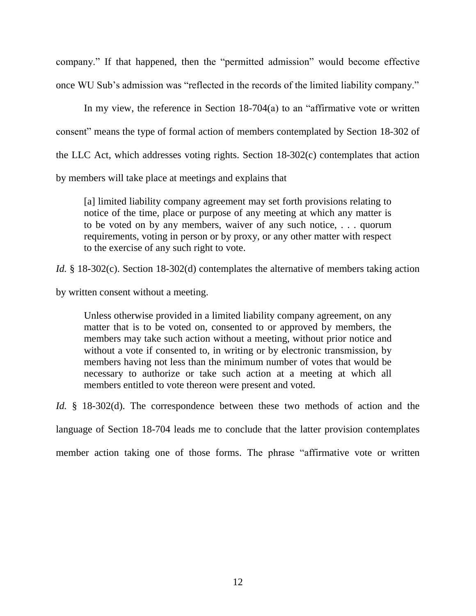company." If that happened, then the "permitted admission" would become effective once WU Sub's admission was "reflected in the records of the limited liability company."

In my view, the reference in Section  $18-704(a)$  to an "affirmative vote or written consent" means the type of formal action of members contemplated by Section 18-302 of the LLC Act, which addresses voting rights. Section 18-302(c) contemplates that action by members will take place at meetings and explains that

[a] limited liability company agreement may set forth provisions relating to notice of the time, place or purpose of any meeting at which any matter is to be voted on by any members, waiver of any such notice, . . . quorum requirements, voting in person or by proxy, or any other matter with respect to the exercise of any such right to vote.

*Id.* § 18-302(c). Section 18-302(d) contemplates the alternative of members taking action

by written consent without a meeting.

Unless otherwise provided in a limited liability company agreement, on any matter that is to be voted on, consented to or approved by members, the members may take such action without a meeting, without prior notice and without a vote if consented to, in writing or by electronic transmission, by members having not less than the minimum number of votes that would be necessary to authorize or take such action at a meeting at which all members entitled to vote thereon were present and voted.

*Id.* § 18-302(d). The correspondence between these two methods of action and the

language of Section 18-704 leads me to conclude that the latter provision contemplates

member action taking one of those forms. The phrase "affirmative vote or written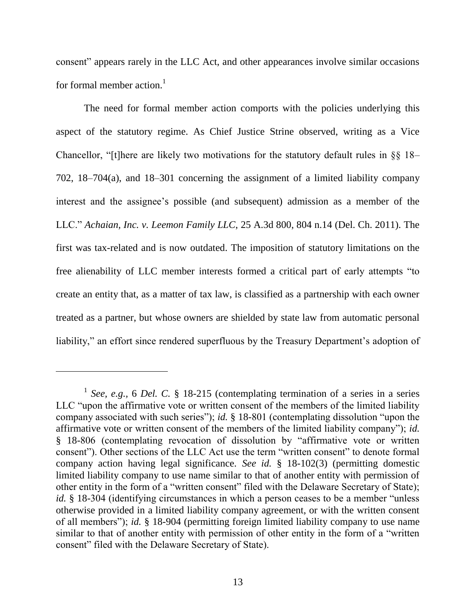consent" appears rarely in the LLC Act, and other appearances involve similar occasions for formal member action.<sup>1</sup>

The need for formal member action comports with the policies underlying this aspect of the statutory regime. As Chief Justice Strine observed, writing as a Vice Chancellor, "[t]here are likely two motivations for the statutory default rules in  $\S$ § 18– 702, 18–704(a), and 18–301 concerning the assignment of a limited liability company interest and the assignee's possible (and subsequent) admission as a member of the LLC.‖ *Achaian, Inc. v. Leemon Family LLC*, 25 A.3d 800, 804 n.14 (Del. Ch. 2011). The first was tax-related and is now outdated. The imposition of statutory limitations on the free alienability of LLC member interests formed a critical part of early attempts "to create an entity that, as a matter of tax law, is classified as a partnership with each owner treated as a partner, but whose owners are shielded by state law from automatic personal liability," an effort since rendered superfluous by the Treasury Department's adoption of

 $\overline{a}$ 

<sup>&</sup>lt;sup>1</sup> See, e.g., 6 Del. C. § 18-215 (contemplating termination of a series in a series LLC "upon the affirmative vote or written consent of the members of the limited liability company associated with such series"); *id.* § 18-801 (contemplating dissolution "upon the affirmative vote or written consent of the members of the limited liability company"); *id.* § 18-806 (contemplating revocation of dissolution by "affirmative vote or written consent"). Other sections of the LLC Act use the term "written consent" to denote formal company action having legal significance. *See id.* § 18-102(3) (permitting domestic limited liability company to use name similar to that of another entity with permission of other entity in the form of a "written consent" filed with the Delaware Secretary of State); *id.* § 18-304 (identifying circumstances in which a person ceases to be a member "unless" otherwise provided in a limited liability company agreement, or with the written consent of all members"); *id.* § 18-904 (permitting foreign limited liability company to use name similar to that of another entity with permission of other entity in the form of a "written" consent" filed with the Delaware Secretary of State).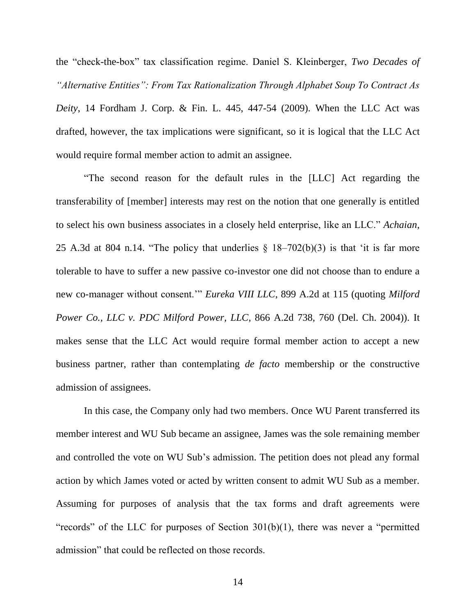the "check-the-box" tax classification regime. Daniel S. Kleinberger, *Two Decades of "Alternative Entities": From Tax Rationalization Through Alphabet Soup To Contract As Deity*, 14 Fordham J. Corp. & Fin. L. 445, 447-54 (2009). When the LLC Act was drafted, however, the tax implications were significant, so it is logical that the LLC Act would require formal member action to admit an assignee.

―The second reason for the default rules in the [LLC] Act regarding the transferability of [member] interests may rest on the notion that one generally is entitled to select his own business associates in a closely held enterprise, like an LLC.‖ *Achaian,*  25 A.3d at 804 n.14. "The policy that underlies  $\S$  18–702(b)(3) is that 'it is far more tolerable to have to suffer a new passive co-investor one did not choose than to endure a new co-manager without consent." *Eureka VIII LLC*, 899 A.2d at 115 (quoting *Milford Power Co., LLC v. PDC Milford Power, LLC*, 866 A.2d 738, 760 (Del. Ch. 2004)). It makes sense that the LLC Act would require formal member action to accept a new business partner, rather than contemplating *de facto* membership or the constructive admission of assignees.

In this case, the Company only had two members. Once WU Parent transferred its member interest and WU Sub became an assignee, James was the sole remaining member and controlled the vote on WU Sub's admission. The petition does not plead any formal action by which James voted or acted by written consent to admit WU Sub as a member. Assuming for purposes of analysis that the tax forms and draft agreements were "records" of the LLC for purposes of Section  $301(b)(1)$ , there was never a "permitted" admission" that could be reflected on those records.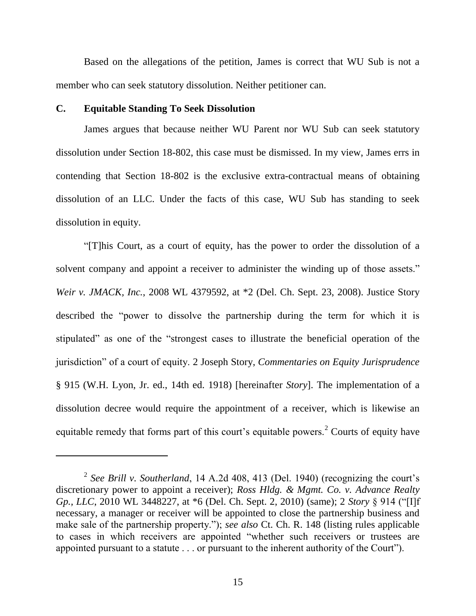Based on the allegations of the petition, James is correct that WU Sub is not a member who can seek statutory dissolution. Neither petitioner can.

## **C. Equitable Standing To Seek Dissolution**

 $\overline{a}$ 

James argues that because neither WU Parent nor WU Sub can seek statutory dissolution under Section 18-802, this case must be dismissed. In my view, James errs in contending that Section 18-802 is the exclusive extra-contractual means of obtaining dissolution of an LLC. Under the facts of this case, WU Sub has standing to seek dissolution in equity.

―[T]his Court, as a court of equity, has the power to order the dissolution of a solvent company and appoint a receiver to administer the winding up of those assets." *Weir v. JMACK, Inc.*, 2008 WL 4379592, at \*2 (Del. Ch. Sept. 23, 2008). Justice Story described the "power to dissolve the partnership during the term for which it is stipulated" as one of the "strongest cases to illustrate the beneficial operation of the jurisdiction" of a court of equity. 2 Joseph Story, *Commentaries on Equity Jurisprudence* § 915 (W.H. Lyon, Jr. ed., 14th ed. 1918) [hereinafter *Story*]. The implementation of a dissolution decree would require the appointment of a receiver, which is likewise an equitable remedy that forms part of this court's equitable powers.<sup>2</sup> Courts of equity have

<sup>2</sup> *See Brill v. Southerland*, 14 A.2d 408, 413 (Del. 1940) (recognizing the court's discretionary power to appoint a receiver); *Ross Hldg. & Mgmt. Co. v. Advance Realty Gp., LLC*, 2010 WL 3448227, at \*6 (Del. Ch. Sept. 2, 2010) (same); 2 *Story* § 914 ("[I]f necessary, a manager or receiver will be appointed to close the partnership business and make sale of the partnership property."); *see also* Ct. Ch. R. 148 (listing rules applicable to cases in which receivers are appointed "whether such receivers or trustees are appointed pursuant to a statute  $\ldots$  or pursuant to the inherent authority of the Court").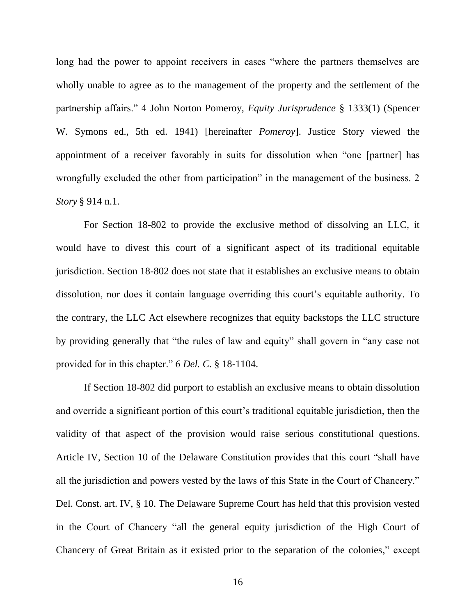long had the power to appoint receivers in cases "where the partners themselves are wholly unable to agree as to the management of the property and the settlement of the partnership affairs.‖ 4 John Norton Pomeroy, *Equity Jurisprudence* § 1333(1) (Spencer W. Symons ed., 5th ed. 1941) [hereinafter *Pomeroy*]. Justice Story viewed the appointment of a receiver favorably in suits for dissolution when "one [partner] has wrongfully excluded the other from participation" in the management of the business. 2 *Story* § 914 n.1.

For Section 18-802 to provide the exclusive method of dissolving an LLC, it would have to divest this court of a significant aspect of its traditional equitable jurisdiction. Section 18-802 does not state that it establishes an exclusive means to obtain dissolution, nor does it contain language overriding this court's equitable authority. To the contrary, the LLC Act elsewhere recognizes that equity backstops the LLC structure by providing generally that "the rules of law and equity" shall govern in "any case not provided for in this chapter." 6 *Del. C.* § 18-1104.

If Section 18-802 did purport to establish an exclusive means to obtain dissolution and override a significant portion of this court's traditional equitable jurisdiction, then the validity of that aspect of the provision would raise serious constitutional questions. Article IV, Section 10 of the Delaware Constitution provides that this court "shall have all the jurisdiction and powers vested by the laws of this State in the Court of Chancery." Del. Const. art. IV, § 10. The Delaware Supreme Court has held that this provision vested in the Court of Chancery "all the general equity jurisdiction of the High Court of Chancery of Great Britain as it existed prior to the separation of the colonies," except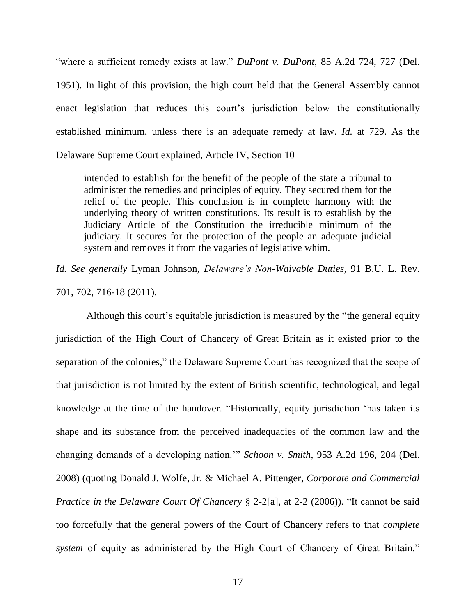―where a sufficient remedy exists at law.‖ *DuPont v. DuPont*, 85 A.2d 724, 727 (Del. 1951). In light of this provision, the high court held that the General Assembly cannot enact legislation that reduces this court's jurisdiction below the constitutionally established minimum, unless there is an adequate remedy at law. *Id.* at 729. As the Delaware Supreme Court explained, Article IV, Section 10

intended to establish for the benefit of the people of the state a tribunal to administer the remedies and principles of equity. They secured them for the relief of the people. This conclusion is in complete harmony with the underlying theory of written constitutions. Its result is to establish by the Judiciary Article of the Constitution the irreducible minimum of the judiciary. It secures for the protection of the people an adequate judicial system and removes it from the vagaries of legislative whim.

*Id. See generally* Lyman Johnson, *Delaware's Non-Waivable Duties*, 91 B.U. L. Rev. 701, 702, 716-18 (2011).

Although this court's equitable jurisdiction is measured by the "the general equity" jurisdiction of the High Court of Chancery of Great Britain as it existed prior to the separation of the colonies," the Delaware Supreme Court has recognized that the scope of that jurisdiction is not limited by the extent of British scientific, technological, and legal knowledge at the time of the handover. "Historically, equity jurisdiction 'has taken its shape and its substance from the perceived inadequacies of the common law and the changing demands of a developing nation." *Schoon v. Smith*, 953 A.2d 196, 204 (Del. 2008) (quoting Donald J. Wolfe, Jr. & Michael A. Pittenger, *Corporate and Commercial Practice in the Delaware Court Of Chancery* § 2-2[a], at 2-2 (2006)). "It cannot be said too forcefully that the general powers of the Court of Chancery refers to that *complete system* of equity as administered by the High Court of Chancery of Great Britain."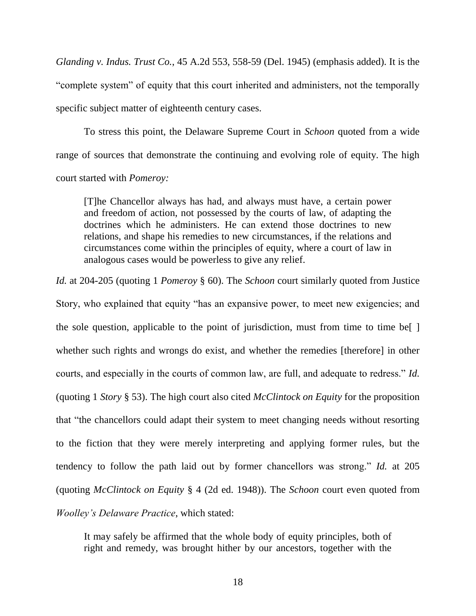*Glanding v. Indus. Trust Co.*, 45 A.2d 553, 558-59 (Del. 1945) (emphasis added). It is the ―complete system‖ of equity that this court inherited and administers, not the temporally specific subject matter of eighteenth century cases.

To stress this point, the Delaware Supreme Court in *Schoon* quoted from a wide range of sources that demonstrate the continuing and evolving role of equity. The high court started with *Pomeroy:*

[T]he Chancellor always has had, and always must have, a certain power and freedom of action, not possessed by the courts of law, of adapting the doctrines which he administers. He can extend those doctrines to new relations, and shape his remedies to new circumstances, if the relations and circumstances come within the principles of equity, where a court of law in analogous cases would be powerless to give any relief.

*Id.* at 204-205 (quoting 1 *Pomeroy* § 60). The *Schoon* court similarly quoted from Justice Story, who explained that equity "has an expansive power, to meet new exigencies; and the sole question, applicable to the point of jurisdiction, must from time to time be[ ] whether such rights and wrongs do exist, and whether the remedies [therefore] in other courts, and especially in the courts of common law, are full, and adequate to redress." *Id.* (quoting 1 *Story* § 53). The high court also cited *McClintock on Equity* for the proposition that "the chancellors could adapt their system to meet changing needs without resorting to the fiction that they were merely interpreting and applying former rules, but the tendency to follow the path laid out by former chancellors was strong." *Id.* at 205 (quoting *McClintock on Equity* § 4 (2d ed. 1948)). The *Schoon* court even quoted from *Woolley's Delaware Practice*, which stated:

It may safely be affirmed that the whole body of equity principles, both of right and remedy, was brought hither by our ancestors, together with the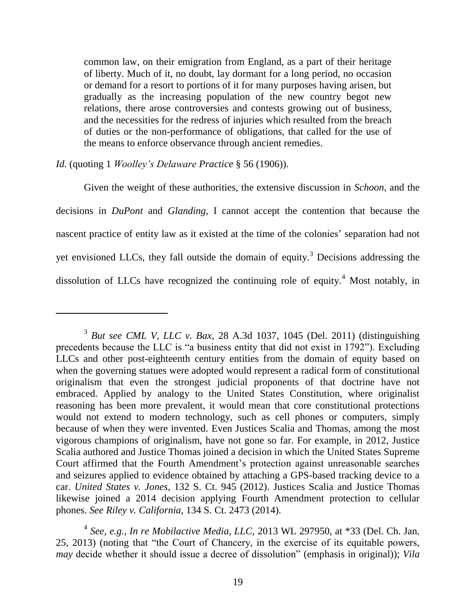common law, on their emigration from England, as a part of their heritage of liberty. Much of it, no doubt, lay dormant for a long period, no occasion or demand for a resort to portions of it for many purposes having arisen, but gradually as the increasing population of the new country begot new relations, there arose controversies and contests growing out of business, and the necessities for the redress of injuries which resulted from the breach of duties or the non-performance of obligations, that called for the use of the means to enforce observance through ancient remedies.

## *Id.* (quoting 1 *Woolley's Delaware Practice* § 56 (1906)).

Given the weight of these authorities, the extensive discussion in *Schoon*, and the decisions in *DuPont* and *Glanding*, I cannot accept the contention that because the nascent practice of entity law as it existed at the time of the colonies' separation had not yet envisioned LLCs, they fall outside the domain of equity.<sup>3</sup> Decisions addressing the dissolution of LLCs have recognized the continuing role of equity.<sup>4</sup> Most notably, in

<sup>3</sup> *But see CML V, LLC v. Bax*, 28 A.3d 1037, 1045 (Del. 2011) (distinguishing precedents because the LLC is "a business entity that did not exist in 1792"). Excluding LLCs and other post-eighteenth century entities from the domain of equity based on when the governing statues were adopted would represent a radical form of constitutional originalism that even the strongest judicial proponents of that doctrine have not embraced. Applied by analogy to the United States Constitution, where originalist reasoning has been more prevalent, it would mean that core constitutional protections would not extend to modern technology, such as cell phones or computers, simply because of when they were invented. Even Justices Scalia and Thomas, among the most vigorous champions of originalism, have not gone so far. For example, in 2012, Justice Scalia authored and Justice Thomas joined a decision in which the United States Supreme Court affirmed that the Fourth Amendment's protection against unreasonable searches and seizures applied to evidence obtained by attaching a GPS-based tracking device to a car. *United States v. Jones*, 132 S. Ct. 945 (2012). Justices Scalia and Justice Thomas likewise joined a 2014 decision applying Fourth Amendment protection to cellular phones. *See Riley v. California*, 134 S. Ct. 2473 (2014).

<sup>4</sup> *See, e.g., In re Mobilactive Media, LLC,* 2013 WL 297950, at \*33 (Del. Ch. Jan. 25, 2013) (noting that "the Court of Chancery, in the exercise of its equitable powers, *may* decide whether it should issue a decree of dissolution" (emphasis in original)); *Vila*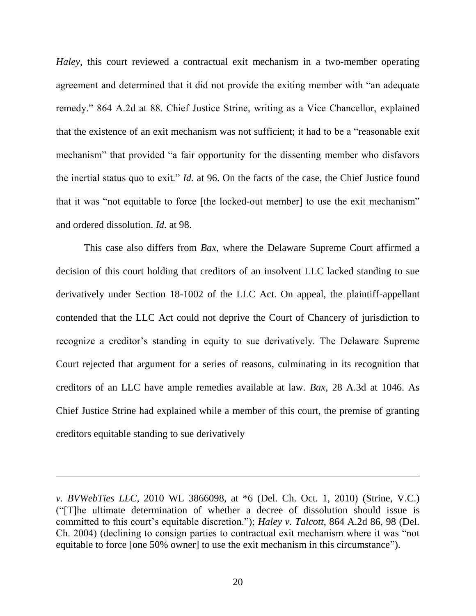*Haley*, this court reviewed a contractual exit mechanism in a two-member operating agreement and determined that it did not provide the exiting member with "an adequate" remedy." 864 A.2d at 88. Chief Justice Strine, writing as a Vice Chancellor, explained that the existence of an exit mechanism was not sufficient; it had to be a "reasonable exit" mechanism" that provided "a fair opportunity for the dissenting member who disfavors the inertial status quo to exit." *Id.* at 96. On the facts of the case, the Chief Justice found that it was "not equitable to force [the locked-out member] to use the exit mechanism" and ordered dissolution. *Id.* at 98.

This case also differs from *Bax*, where the Delaware Supreme Court affirmed a decision of this court holding that creditors of an insolvent LLC lacked standing to sue derivatively under Section 18-1002 of the LLC Act. On appeal, the plaintiff-appellant contended that the LLC Act could not deprive the Court of Chancery of jurisdiction to recognize a creditor's standing in equity to sue derivatively. The Delaware Supreme Court rejected that argument for a series of reasons, culminating in its recognition that creditors of an LLC have ample remedies available at law. *Bax*, 28 A.3d at 1046. As Chief Justice Strine had explained while a member of this court, the premise of granting creditors equitable standing to sue derivatively

*v. BVWebTies LLC*, 2010 WL 3866098, at \*6 (Del. Ch. Oct. 1, 2010) (Strine, V.C.) (―[T]he ultimate determination of whether a decree of dissolution should issue is committed to this court's equitable discretion."); *Haley v. Talcott*, 864 A.2d 86, 98 (Del. Ch. 2004) (declining to consign parties to contractual exit mechanism where it was "not equitable to force [one 50% owner] to use the exit mechanism in this circumstance").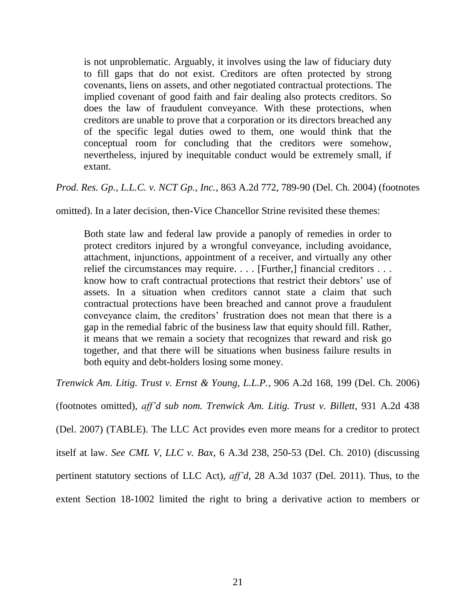is not unproblematic. Arguably, it involves using the law of fiduciary duty to fill gaps that do not exist. Creditors are often protected by strong covenants, liens on assets, and other negotiated contractual protections. The implied covenant of good faith and fair dealing also protects creditors. So does the law of fraudulent conveyance. With these protections, when creditors are unable to prove that a corporation or its directors breached any of the specific legal duties owed to them, one would think that the conceptual room for concluding that the creditors were somehow, nevertheless, injured by inequitable conduct would be extremely small, if extant.

*Prod. Res. Gp., L.L.C. v. NCT Gp., Inc.*, 863 A.2d 772, 789-90 (Del. Ch. 2004) (footnotes

omitted). In a later decision, then-Vice Chancellor Strine revisited these themes:

Both state law and federal law provide a panoply of remedies in order to protect creditors injured by a wrongful conveyance, including avoidance, attachment, injunctions, appointment of a receiver, and virtually any other relief the circumstances may require. . . . [Further,] financial creditors . . . know how to craft contractual protections that restrict their debtors' use of assets. In a situation when creditors cannot state a claim that such contractual protections have been breached and cannot prove a fraudulent conveyance claim, the creditors' frustration does not mean that there is a gap in the remedial fabric of the business law that equity should fill. Rather, it means that we remain a society that recognizes that reward and risk go together, and that there will be situations when business failure results in both equity and debt-holders losing some money.

*Trenwick Am. Litig. Trust v. Ernst & Young, L.L.P.*, 906 A.2d 168, 199 (Del. Ch. 2006)

(footnotes omitted), *aff'd sub nom. Trenwick Am. Litig. Trust v. Billett*, 931 A.2d 438

(Del. 2007) (TABLE). The LLC Act provides even more means for a creditor to protect

itself at law. *See CML V, LLC v. Bax*, 6 A.3d 238, 250-53 (Del. Ch. 2010) (discussing

pertinent statutory sections of LLC Act), *aff'd*, 28 A.3d 1037 (Del. 2011). Thus, to the

extent Section 18-1002 limited the right to bring a derivative action to members or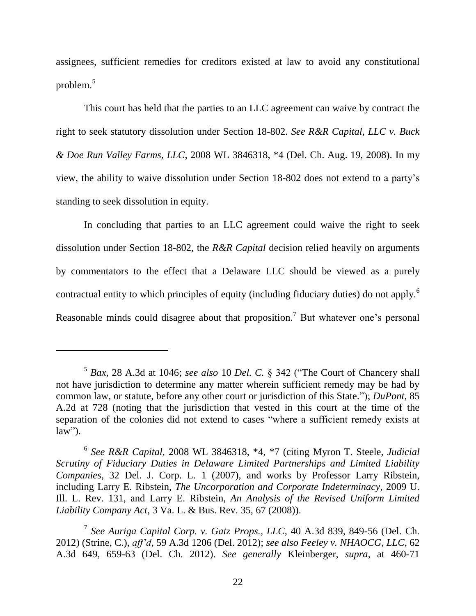assignees, sufficient remedies for creditors existed at law to avoid any constitutional problem.<sup>5</sup>

This court has held that the parties to an LLC agreement can waive by contract the right to seek statutory dissolution under Section 18-802. *See R&R Capital, LLC v. Buck & Doe Run Valley Farms, LLC*, 2008 WL 3846318, \*4 (Del. Ch. Aug. 19, 2008). In my view, the ability to waive dissolution under Section 18-802 does not extend to a party's standing to seek dissolution in equity.

In concluding that parties to an LLC agreement could waive the right to seek dissolution under Section 18-802, the *R&R Capital* decision relied heavily on arguments by commentators to the effect that a Delaware LLC should be viewed as a purely contractual entity to which principles of equity (including fiduciary duties) do not apply.<sup>6</sup> Reasonable minds could disagree about that proposition.<sup>7</sup> But whatever one's personal

 $\overline{a}$ 

<sup>&</sup>lt;sup>5</sup> Bax, 28 A.3d at 1046; see also 10 Del. C. § 342 ("The Court of Chancery shall not have jurisdiction to determine any matter wherein sufficient remedy may be had by common law, or statute, before any other court or jurisdiction of this State."); *DuPont*, 85 A.2d at 728 (noting that the jurisdiction that vested in this court at the time of the separation of the colonies did not extend to cases "where a sufficient remedy exists at  $\overline{\text{law}}$ ").

<sup>6</sup> *See R&R Capital,* 2008 WL 3846318, \*4, \*7 (citing Myron T. Steele, *Judicial Scrutiny of Fiduciary Duties in Delaware Limited Partnerships and Limited Liability Companies*, 32 Del. J. Corp. L. 1 (2007), and works by Professor Larry Ribstein, including Larry E. Ribstein, *The Uncorporation and Corporate Indeterminacy*, 2009 U. Ill. L. Rev. 131, and Larry E. Ribstein, *An Analysis of the Revised Uniform Limited Liability Company Act*, 3 Va. L. & Bus. Rev. 35, 67 (2008)).

<sup>7</sup> *See Auriga Capital Corp. v. Gatz Props., LLC*, 40 A.3d 839, 849-56 (Del. Ch. 2012) (Strine, C.), *aff'd*, 59 A.3d 1206 (Del. 2012); *see also Feeley v. NHAOCG, LLC*, 62 A.3d 649, 659-63 (Del. Ch. 2012). *See generally* Kleinberger, *supra*, at 460-71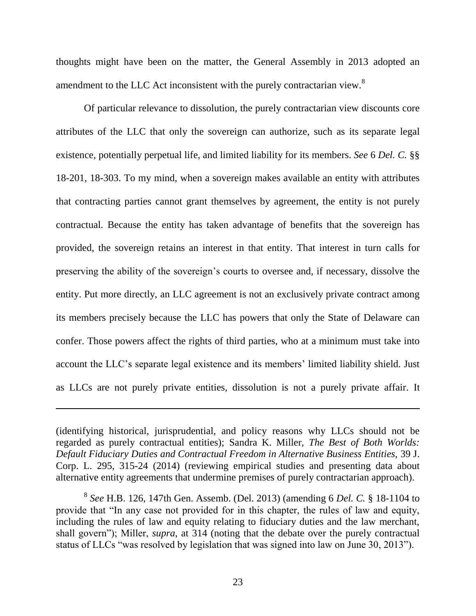thoughts might have been on the matter, the General Assembly in 2013 adopted an amendment to the LLC Act inconsistent with the purely contractarian view.<sup>8</sup>

Of particular relevance to dissolution, the purely contractarian view discounts core attributes of the LLC that only the sovereign can authorize, such as its separate legal existence, potentially perpetual life, and limited liability for its members. *See* 6 *Del. C.* §§ 18-201, 18-303. To my mind, when a sovereign makes available an entity with attributes that contracting parties cannot grant themselves by agreement, the entity is not purely contractual. Because the entity has taken advantage of benefits that the sovereign has provided, the sovereign retains an interest in that entity. That interest in turn calls for preserving the ability of the sovereign's courts to oversee and, if necessary, dissolve the entity. Put more directly, an LLC agreement is not an exclusively private contract among its members precisely because the LLC has powers that only the State of Delaware can confer. Those powers affect the rights of third parties, who at a minimum must take into account the LLC's separate legal existence and its members' limited liability shield. Just as LLCs are not purely private entities, dissolution is not a purely private affair. It

 $\overline{a}$ 

<sup>(</sup>identifying historical, jurisprudential, and policy reasons why LLCs should not be regarded as purely contractual entities); Sandra K. Miller, *The Best of Both Worlds: Default Fiduciary Duties and Contractual Freedom in Alternative Business Entities,* 39 J. Corp. L. 295, 315-24 (2014) (reviewing empirical studies and presenting data about alternative entity agreements that undermine premises of purely contractarian approach).

<sup>8</sup> *See* H.B. 126, 147th Gen. Assemb. (Del. 2013) (amending 6 *Del. C.* § 18-1104 to provide that "In any case not provided for in this chapter, the rules of law and equity, including the rules of law and equity relating to fiduciary duties and the law merchant, shall govern"); Miller, *supra*, at 314 (noting that the debate over the purely contractual status of LLCs "was resolved by legislation that was signed into law on June 30, 2013").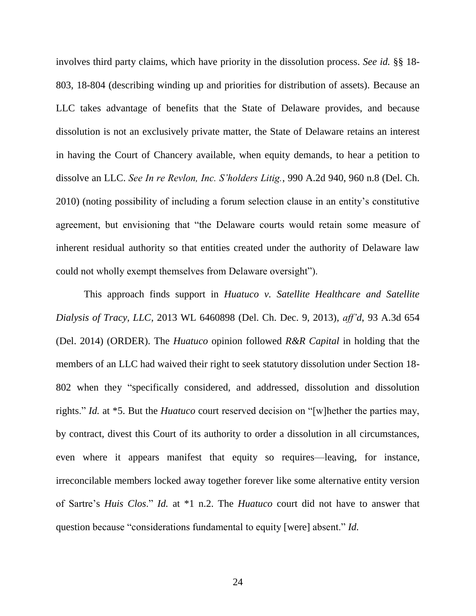involves third party claims, which have priority in the dissolution process. *See id.* §§ 18- 803, 18-804 (describing winding up and priorities for distribution of assets). Because an LLC takes advantage of benefits that the State of Delaware provides, and because dissolution is not an exclusively private matter, the State of Delaware retains an interest in having the Court of Chancery available, when equity demands, to hear a petition to dissolve an LLC. *See In re Revlon, Inc. S'holders Litig.*, 990 A.2d 940, 960 n.8 (Del. Ch. 2010) (noting possibility of including a forum selection clause in an entity's constitutive agreement, but envisioning that "the Delaware courts would retain some measure of inherent residual authority so that entities created under the authority of Delaware law could not wholly exempt themselves from Delaware oversight").

This approach finds support in *Huatuco v. Satellite Healthcare and Satellite Dialysis of Tracy, LLC*, 2013 WL 6460898 (Del. Ch. Dec. 9, 2013), *aff'd*, 93 A.3d 654 (Del. 2014) (ORDER). The *Huatuco* opinion followed *R&R Capital* in holding that the members of an LLC had waived their right to seek statutory dissolution under Section 18- 802 when they "specifically considered, and addressed, dissolution and dissolution rights." *Id.* at \*5. But the *Huatuco* court reserved decision on "[w] hether the parties may, by contract, divest this Court of its authority to order a dissolution in all circumstances, even where it appears manifest that equity so requires—leaving, for instance, irreconcilable members locked away together forever like some alternative entity version of Sartre's *Huis Clos*.‖ *Id.* at \*1 n.2. The *Huatuco* court did not have to answer that question because "considerations fundamental to equity [were] absent." *Id.*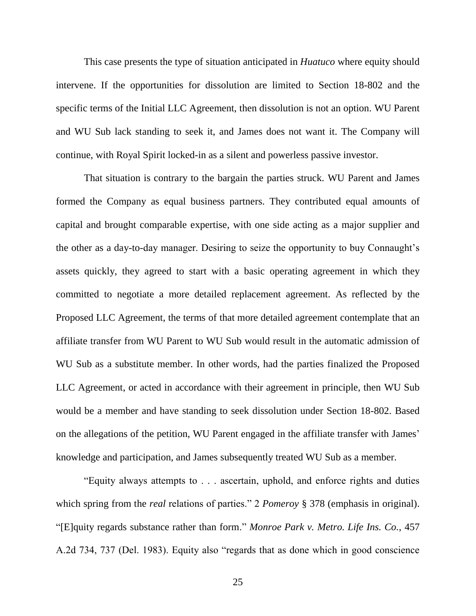This case presents the type of situation anticipated in *Huatuco* where equity should intervene. If the opportunities for dissolution are limited to Section 18-802 and the specific terms of the Initial LLC Agreement, then dissolution is not an option. WU Parent and WU Sub lack standing to seek it, and James does not want it. The Company will continue, with Royal Spirit locked-in as a silent and powerless passive investor.

That situation is contrary to the bargain the parties struck. WU Parent and James formed the Company as equal business partners. They contributed equal amounts of capital and brought comparable expertise, with one side acting as a major supplier and the other as a day-to-day manager. Desiring to seize the opportunity to buy Connaught's assets quickly, they agreed to start with a basic operating agreement in which they committed to negotiate a more detailed replacement agreement. As reflected by the Proposed LLC Agreement, the terms of that more detailed agreement contemplate that an affiliate transfer from WU Parent to WU Sub would result in the automatic admission of WU Sub as a substitute member. In other words, had the parties finalized the Proposed LLC Agreement, or acted in accordance with their agreement in principle, then WU Sub would be a member and have standing to seek dissolution under Section 18-802. Based on the allegations of the petition, WU Parent engaged in the affiliate transfer with James' knowledge and participation, and James subsequently treated WU Sub as a member.

―Equity always attempts to . . . ascertain, uphold, and enforce rights and duties which spring from the *real* relations of parties." 2 *Pomerov* § 378 (emphasis in original). ―[E]quity regards substance rather than form.‖ *Monroe Park v. Metro. Life Ins. Co.*, 457 A.2d 734, 737 (Del. 1983). Equity also "regards that as done which in good conscience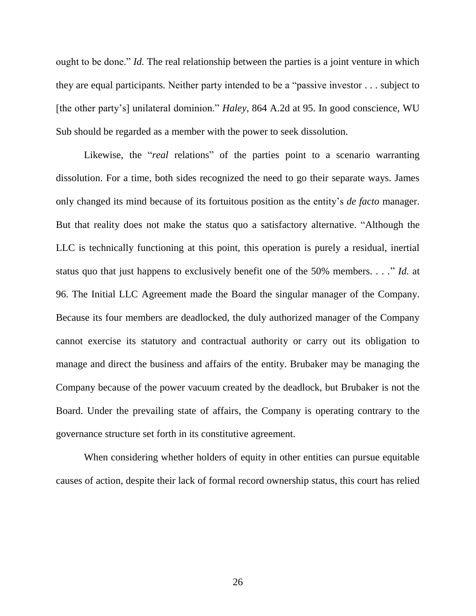ought to be done." *Id.* The real relationship between the parties is a joint venture in which they are equal participants. Neither party intended to be a "passive investor  $\dots$  subject to [the other party's] unilateral dominion." *Haley*, 864 A.2d at 95. In good conscience, WU Sub should be regarded as a member with the power to seek dissolution.

Likewise, the "*real* relations" of the parties point to a scenario warranting dissolution. For a time, both sides recognized the need to go their separate ways. James only changed its mind because of its fortuitous position as the entity's *de facto* manager. But that reality does not make the status quo a satisfactory alternative. "Although the LLC is technically functioning at this point, this operation is purely a residual, inertial status quo that just happens to exclusively benefit one of the 50% members. . . ." *Id.* at 96. The Initial LLC Agreement made the Board the singular manager of the Company. Because its four members are deadlocked, the duly authorized manager of the Company cannot exercise its statutory and contractual authority or carry out its obligation to manage and direct the business and affairs of the entity. Brubaker may be managing the Company because of the power vacuum created by the deadlock, but Brubaker is not the Board. Under the prevailing state of affairs, the Company is operating contrary to the governance structure set forth in its constitutive agreement.

When considering whether holders of equity in other entities can pursue equitable causes of action, despite their lack of formal record ownership status, this court has relied